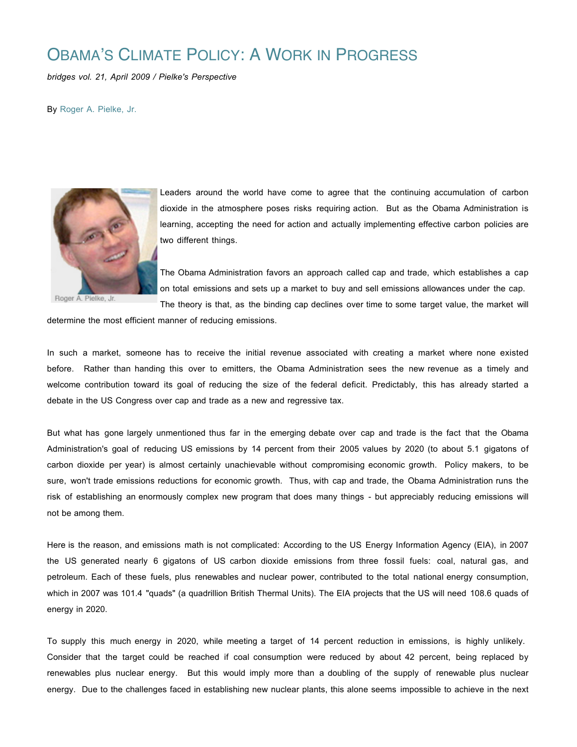## OBAMA'S CLIMATE POLICY: A WORK IN PROGRESS

*bridges vol. 21, April 2009 / Pielke's Perspective*

By Roger A. Pielke, Jr.



Roger A. Pielke, Jr.

Leaders around the world have come to agree that the continuing accumulation of carbon dioxide in the atmosphere poses risks requiring action. But as the Obama Administration is learning, accepting the need for action and actually implementing effective carbon policies are two different things.

The Obama Administration favors an approach called cap and trade, which establishes a cap on total emissions and sets up a market to buy and sell emissions allowances under the cap.

The theory is that, as the binding cap declines over time to some target value, the market will

determine the most efficient manner of reducing emissions.

In such a market, someone has to receive the initial revenue associated with creating a market where none existed before. Rather than handing this over to emitters, the Obama Administration sees the new revenue as a timely and welcome contribution toward its goal of reducing the size of the federal deficit. Predictably, this has already started a debate in the US Congress over cap and trade as a new and regressive tax.

But what has gone largely unmentioned thus far in the emerging debate over cap and trade is the fact that the Obama Administration's goal of reducing US emissions by 14 percent from their 2005 values by 2020 (to about 5.1 gigatons of carbon dioxide per year) is almost certainly unachievable without compromising economic growth. Policy makers, to be sure, won't trade emissions reductions for economic growth. Thus, with cap and trade, the Obama Administration runs the risk of establishing an enormously complex new program that does many things - but appreciably reducing emissions will not be among them.

Here is the reason, and emissions math is not complicated: According to the US Energy Information Agency (EIA), in 2007 the US generated nearly 6 gigatons of US carbon dioxide emissions from three fossil fuels: coal, natural gas, and petroleum. Each of these fuels, plus renewables and nuclear power, contributed to the total national energy consumption, which in 2007 was 101.4 "quads" (a quadrillion British Thermal Units). The EIA projects that the US will need 108.6 quads of energy in 2020.

To supply this much energy in 2020, while meeting a target of 14 percent reduction in emissions, is highly unlikely. Consider that the target could be reached if coal consumption were reduced by about 42 percent, being replaced by renewables plus nuclear energy. But this would imply more than a doubling of the supply of renewable plus nuclear energy. Due to the challenges faced in establishing new nuclear plants, this alone seems impossible to achieve in the next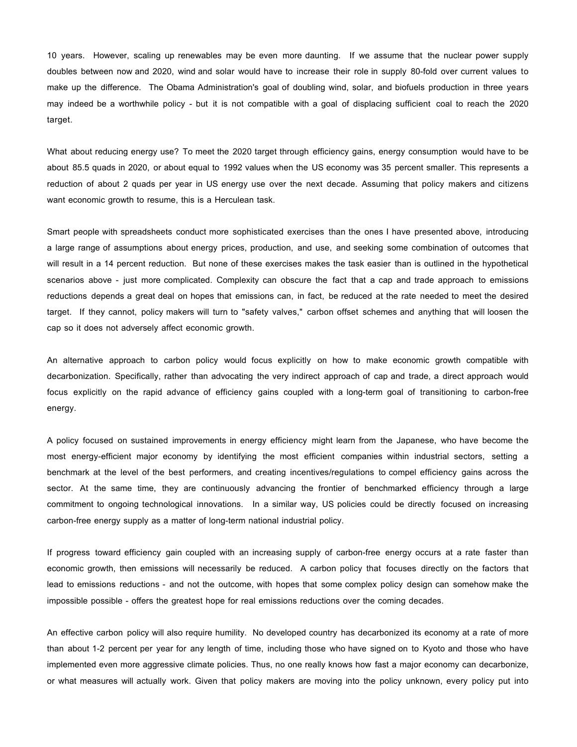10 years. However, scaling up renewables may be even more daunting. If we assume that the nuclear power supply doubles between now and 2020, wind and solar would have to increase their role in supply 80-fold over current values to make up the difference. The Obama Administration's goal of doubling wind, solar, and biofuels production in three years may indeed be a worthwhile policy - but it is not compatible with a goal of displacing sufficient coal to reach the 2020 target.

What about reducing energy use? To meet the 2020 target through efficiency gains, energy consumption would have to be about 85.5 quads in 2020, or about equal to 1992 values when the US economy was 35 percent smaller. This represents a reduction of about 2 quads per year in US energy use over the next decade. Assuming that policy makers and citizens want economic growth to resume, this is a Herculean task.

Smart people with spreadsheets conduct more sophisticated exercises than the ones I have presented above, introducing a large range of assumptions about energy prices, production, and use, and seeking some combination of outcomes that will result in a 14 percent reduction. But none of these exercises makes the task easier than is outlined in the hypothetical scenarios above - just more complicated. Complexity can obscure the fact that a cap and trade approach to emissions reductions depends a great deal on hopes that emissions can, in fact, be reduced at the rate needed to meet the desired target. If they cannot, policy makers will turn to "safety valves," carbon offset schemes and anything that will loosen the cap so it does not adversely affect economic growth.

An alternative approach to carbon policy would focus explicitly on how to make economic growth compatible with decarbonization. Specifically, rather than advocating the very indirect approach of cap and trade, a direct approach would focus explicitly on the rapid advance of efficiency gains coupled with a long-term goal of transitioning to carbon-free energy.

A policy focused on sustained improvements in energy efficiency might learn from the Japanese, who have become the most energy-efficient major economy by identifying the most efficient companies within industrial sectors, setting a benchmark at the level of the best performers, and creating incentives/regulations to compel efficiency gains across the sector. At the same time, they are continuously advancing the frontier of benchmarked efficiency through a large commitment to ongoing technological innovations. In a similar way, US policies could be directly focused on increasing carbon-free energy supply as a matter of long-term national industrial policy.

If progress toward efficiency gain coupled with an increasing supply of carbon-free energy occurs at a rate faster than economic growth, then emissions will necessarily be reduced. A carbon policy that focuses directly on the factors that lead to emissions reductions - and not the outcome, with hopes that some complex policy design can somehow make the impossible possible - offers the greatest hope for real emissions reductions over the coming decades.

An effective carbon policy will also require humility. No developed country has decarbonized its economy at a rate of more than about 1-2 percent per year for any length of time, including those who have signed on to Kyoto and those who have implemented even more aggressive climate policies. Thus, no one really knows how fast a major economy can decarbonize, or what measures will actually work. Given that policy makers are moving into the policy unknown, every policy put into